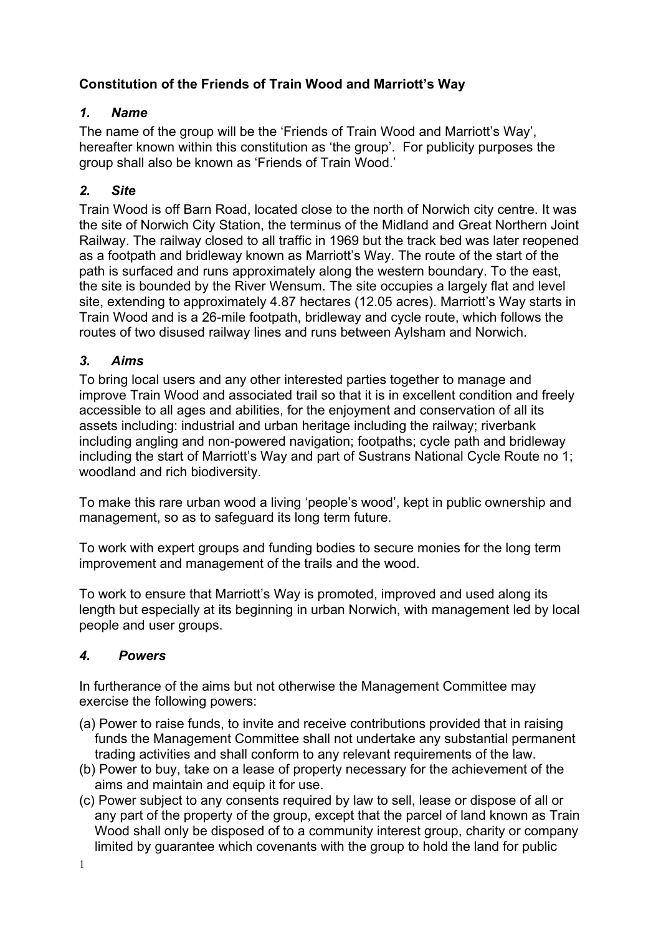# **Constitution of the Friends of Train Wood and Marriott's Way**

### *1. Name*

The name of the group will be the 'Friends of Train Wood and Marriott's Way', hereafter known within this constitution as 'the group'. For publicity purposes the group shall also be known as 'Friends of Train Wood.'

# *2. Site*

Train Wood is off Barn Road, located close to the north of Norwich city centre. It was the site of Norwich City Station, the terminus of the Midland and Great Northern Joint Railway. The railway closed to all traffic in 1969 but the track bed was later reopened as a footpath and bridleway known as Marriott's Way. The route of the start of the path is surfaced and runs approximately along the western boundary. To the east, the site is bounded by the River Wensum. The site occupies a largely flat and level site, extending to approximately 4.87 hectares (12.05 acres). Marriott's Way starts in Train Wood and is a 26-mile footpath, bridleway and cycle route, which follows the routes of two disused railway lines and runs between Aylsham and Norwich.

### *3. Aims*

To bring local users and any other interested parties together to manage and improve Train Wood and associated trail so that it is in excellent condition and freely accessible to all ages and abilities, for the enjoyment and conservation of all its assets including: industrial and urban heritage including the railway; riverbank including angling and non-powered navigation; footpaths; cycle path and bridleway including the start of Marriott's Way and part of Sustrans National Cycle Route no 1; woodland and rich biodiversity.

To make this rare urban wood a living 'people's wood', kept in public ownership and management, so as to safeguard its long term future.

To work with expert groups and funding bodies to secure monies for the long term improvement and management of the trails and the wood.

To work to ensure that Marriott's Way is promoted, improved and used along its length but especially at its beginning in urban Norwich, with management led by local people and user groups.

### *4. Powers*

In furtherance of the aims but not otherwise the Management Committee may exercise the following powers:

- (a) Power to raise funds, to invite and receive contributions provided that in raising funds the Management Committee shall not undertake any substantial permanent trading activities and shall conform to any relevant requirements of the law.
- (b) Power to buy, take on a lease of property necessary for the achievement of the aims and maintain and equip it for use.
- (c) Power subject to any consents required by law to sell, lease or dispose of all or any part of the property of the group, except that the parcel of land known as Train Wood shall only be disposed of to a community interest group, charity or company limited by guarantee which covenants with the group to hold the land for public

1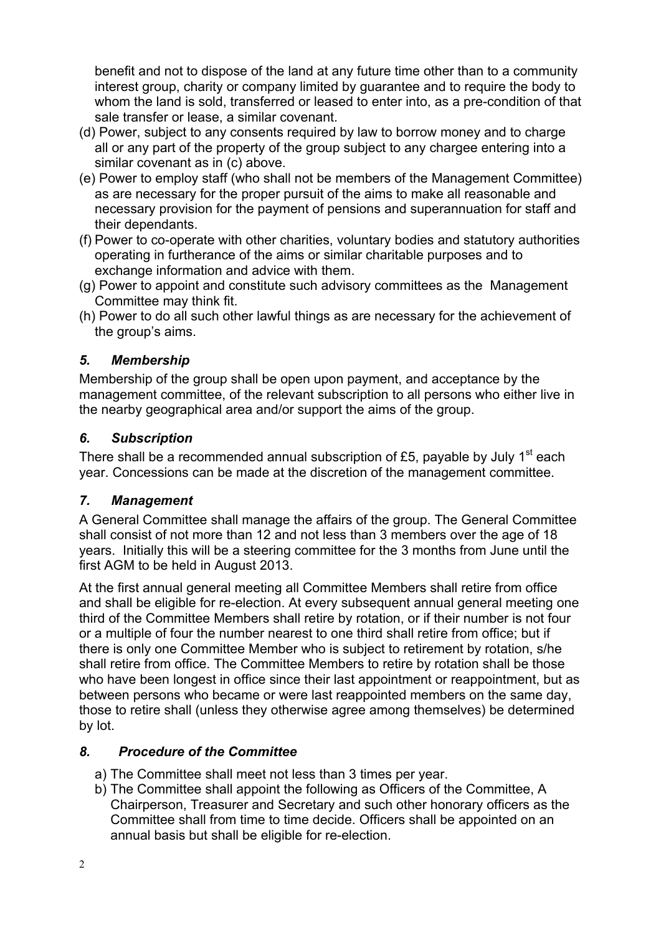benefit and not to dispose of the land at any future time other than to a community interest group, charity or company limited by guarantee and to require the body to whom the land is sold, transferred or leased to enter into, as a pre-condition of that sale transfer or lease, a similar covenant.

- (d) Power, subject to any consents required by law to borrow money and to charge all or any part of the property of the group subject to any chargee entering into a similar covenant as in (c) above.
- (e) Power to employ staff (who shall not be members of the Management Committee) as are necessary for the proper pursuit of the aims to make all reasonable and necessary provision for the payment of pensions and superannuation for staff and their dependants.
- (f) Power to co-operate with other charities, voluntary bodies and statutory authorities operating in furtherance of the aims or similar charitable purposes and to exchange information and advice with them.
- (g) Power to appoint and constitute such advisory committees as the Management Committee may think fit.
- (h) Power to do all such other lawful things as are necessary for the achievement of the group's aims.

## *5. Membership*

Membership of the group shall be open upon payment, and acceptance by the management committee, of the relevant subscription to all persons who either live in the nearby geographical area and/or support the aims of the group.

## *6. Subscription*

There shall be a recommended annual subscription of £5, payable by July 1<sup>st</sup> each year. Concessions can be made at the discretion of the management committee.

### *7. Management*

A General Committee shall manage the affairs of the group. The General Committee shall consist of not more than 12 and not less than 3 members over the age of 18 years. Initially this will be a steering committee for the 3 months from June until the first AGM to be held in August 2013.

At the first annual general meeting all Committee Members shall retire from office and shall be eligible for re-election. At every subsequent annual general meeting one third of the Committee Members shall retire by rotation, or if their number is not four or a multiple of four the number nearest to one third shall retire from office; but if there is only one Committee Member who is subject to retirement by rotation, s/he shall retire from office. The Committee Members to retire by rotation shall be those who have been longest in office since their last appointment or reappointment, but as between persons who became or were last reappointed members on the same day, those to retire shall (unless they otherwise agree among themselves) be determined by lot.

# *8. Procedure of the Committee*

- a) The Committee shall meet not less than 3 times per year.
- b) The Committee shall appoint the following as Officers of the Committee, A Chairperson, Treasurer and Secretary and such other honorary officers as the Committee shall from time to time decide. Officers shall be appointed on an annual basis but shall be eligible for re-election.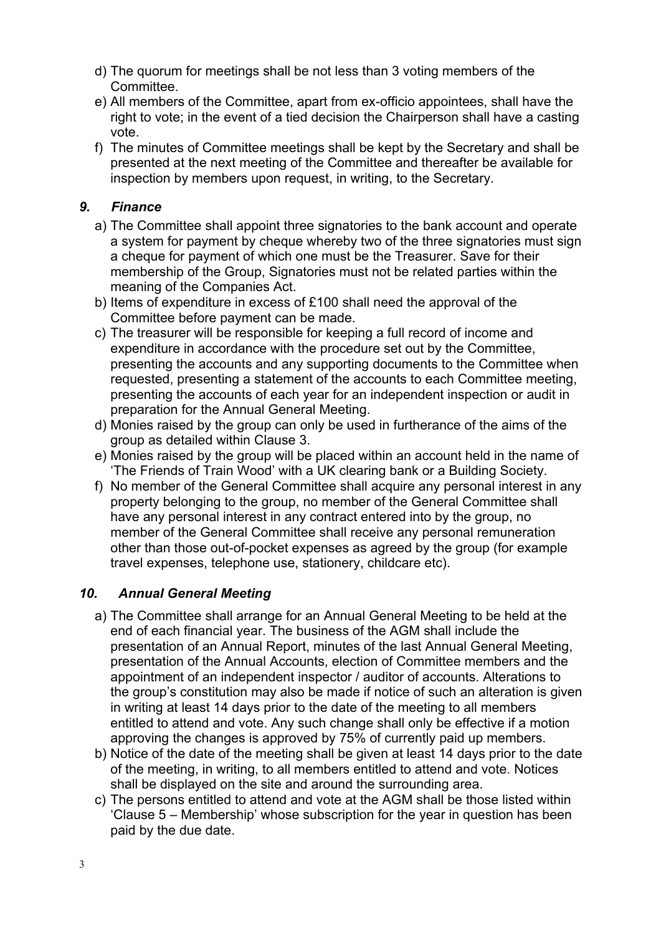- d) The quorum for meetings shall be not less than 3 voting members of the Committee.
- e) All members of the Committee, apart from ex-officio appointees, shall have the right to vote; in the event of a tied decision the Chairperson shall have a casting vote.
- f) The minutes of Committee meetings shall be kept by the Secretary and shall be presented at the next meeting of the Committee and thereafter be available for inspection by members upon request, in writing, to the Secretary.

## *9. Finance*

- a) The Committee shall appoint three signatories to the bank account and operate a system for payment by cheque whereby two of the three signatories must sign a cheque for payment of which one must be the Treasurer. Save for their membership of the Group, Signatories must not be related parties within the meaning of the Companies Act.
- b) Items of expenditure in excess of £100 shall need the approval of the Committee before payment can be made.
- c) The treasurer will be responsible for keeping a full record of income and expenditure in accordance with the procedure set out by the Committee, presenting the accounts and any supporting documents to the Committee when requested, presenting a statement of the accounts to each Committee meeting, presenting the accounts of each year for an independent inspection or audit in preparation for the Annual General Meeting.
- d) Monies raised by the group can only be used in furtherance of the aims of the group as detailed within Clause 3.
- e) Monies raised by the group will be placed within an account held in the name of 'The Friends of Train Wood' with a UK clearing bank or a Building Society.
- f) No member of the General Committee shall acquire any personal interest in any property belonging to the group, no member of the General Committee shall have any personal interest in any contract entered into by the group, no member of the General Committee shall receive any personal remuneration other than those out-of-pocket expenses as agreed by the group (for example travel expenses, telephone use, stationery, childcare etc).

# *10. Annual General Meeting*

- a) The Committee shall arrange for an Annual General Meeting to be held at the end of each financial year. The business of the AGM shall include the presentation of an Annual Report, minutes of the last Annual General Meeting, presentation of the Annual Accounts, election of Committee members and the appointment of an independent inspector / auditor of accounts. Alterations to the group's constitution may also be made if notice of such an alteration is given in writing at least 14 days prior to the date of the meeting to all members entitled to attend and vote. Any such change shall only be effective if a motion approving the changes is approved by 75% of currently paid up members.
- b) Notice of the date of the meeting shall be given at least 14 days prior to the date of the meeting, in writing, to all members entitled to attend and vote. Notices shall be displayed on the site and around the surrounding area.
- c) The persons entitled to attend and vote at the AGM shall be those listed within 'Clause 5 – Membership' whose subscription for the year in question has been paid by the due date.